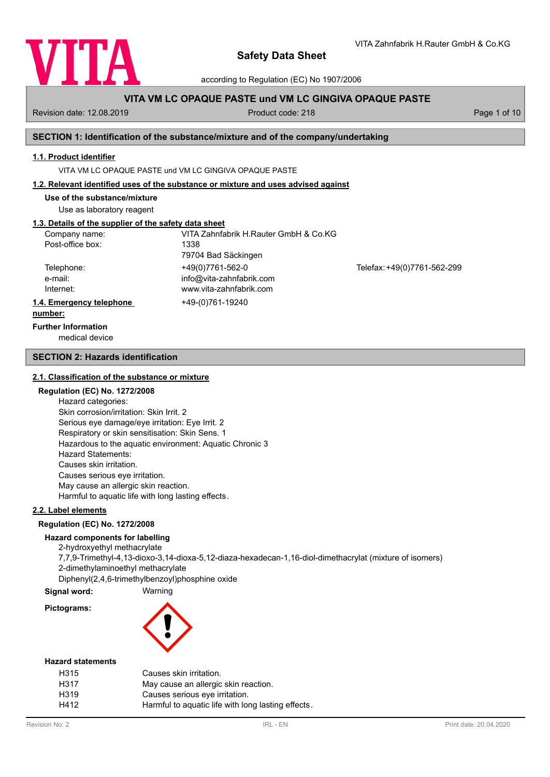

VITA Zahnfabrik H.Rauter GmbH & Co.KG

according to Regulation (EC) No 1907/2006

# **VITA VM LC OPAQUE PASTE und VM LC GINGIVA OPAQUE PASTE**

Revision date: 12.08.2019 **Product code: 218** Page 1 of 10

## **SECTION 1: Identification of the substance/mixture and of the company/undertaking**

#### **1.1. Product identifier**

VITA VM LC OPAQUE PASTE und VM LC GINGIVA OPAQUE PASTE

#### **1.2. Relevant identified uses of the substance or mixture and uses advised against**

**Use of the substance/mixture**

Use as laboratory reagent

# **1.3. Details of the supplier of the safety data sheet**

| Company name:            | VITA Zahnfabrik H.Rauter GmbH & Co.KG |                             |
|--------------------------|---------------------------------------|-----------------------------|
| Post-office box:         | 1338                                  |                             |
|                          | 79704 Bad Säckingen                   |                             |
| Telephone:               | +49(0)7761-562-0                      | Telefax: +49(0)7761-562-299 |
| e-mail:                  | info@vita-zahnfabrik.com              |                             |
| Internet:                | www.vita-zahnfabrik.com               |                             |
| 1.4. Emergency telephone | +49-(0)761-19240                      |                             |
| numhor:                  |                                       |                             |

#### **number:**

#### **Further Information**

medical device

#### **SECTION 2: Hazards identification**

#### **2.1. Classification of the substance or mixture**

## **Regulation (EC) No. 1272/2008**

Hazard categories: Skin corrosion/irritation: Skin Irrit. 2 Serious eye damage/eye irritation: Eye Irrit. 2 Respiratory or skin sensitisation: Skin Sens. 1 Hazardous to the aquatic environment: Aquatic Chronic 3 Hazard Statements: Causes skin irritation. Causes serious eye irritation. May cause an allergic skin reaction. Harmful to aquatic life with long lasting effects.

## **2.2. Label elements**

#### **Regulation (EC) No. 1272/2008**

#### **Hazard components for labelling**

2-hydroxyethyl methacrylate 7,7,9-Trimethyl-4,13-dioxo-3,14-dioxa-5,12-diaza-hexadecan-1,16-diol-dimethacrylat (mixture of isomers) 2-dimethylaminoethyl methacrylate Diphenyl(2,4,6-trimethylbenzoyl)phosphine oxide

**Signal word:** Warning

**Pictograms:**



#### **Hazard statements**

| H315              | Causes skin irritation.                            |
|-------------------|----------------------------------------------------|
| H317              | May cause an allergic skin reaction.               |
| H <sub>3</sub> 19 | Causes serious eye irritation.                     |
| H412              | Harmful to aquatic life with long lasting effects. |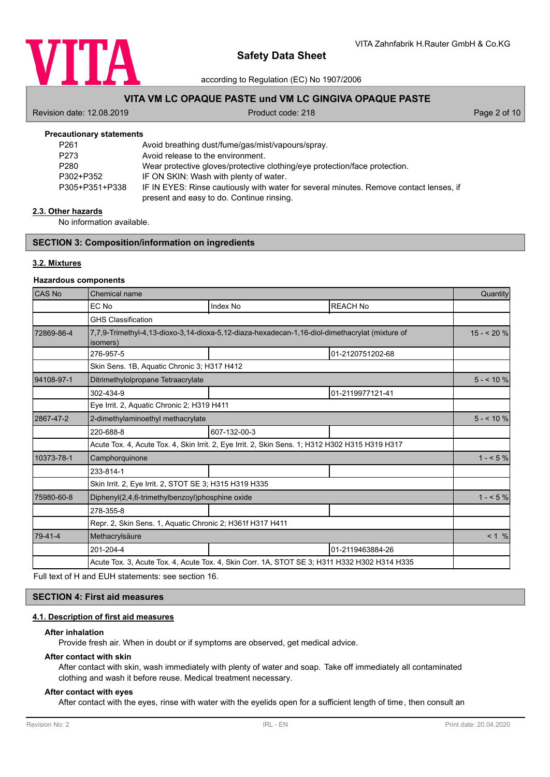

according to Regulation (EC) No 1907/2006

## **VITA VM LC OPAQUE PASTE und VM LC GINGIVA OPAQUE PASTE**

Revision date: 12.08.2019 **Product code: 218** Page 2 of 10

| <b>Precautionary statements</b> |                                                                                        |
|---------------------------------|----------------------------------------------------------------------------------------|
| P <sub>261</sub>                | Avoid breathing dust/fume/gas/mist/vapours/spray.                                      |
| P273                            | Avoid release to the environment.                                                      |
| P280                            | Wear protective gloves/protective clothing/eye protection/face protection.             |
| P302+P352                       | IF ON SKIN: Wash with plenty of water.                                                 |
| P305+P351+P338                  | IF IN EYES: Rinse cautiously with water for several minutes. Remove contact lenses, if |
|                                 | present and easy to do. Continue rinsing.                                              |

#### **2.3. Other hazards**

No information available.

## **SECTION 3: Composition/information on ingredients**

## **3.2. Mixtures**

#### **Hazardous components**

| <b>CAS No</b> | Chemical name                                                                                              |              |                  |            |  |
|---------------|------------------------------------------------------------------------------------------------------------|--------------|------------------|------------|--|
|               | EC No                                                                                                      | Index No     | <b>REACH No</b>  |            |  |
|               | <b>GHS Classification</b>                                                                                  |              |                  |            |  |
| 72869-86-4    | 7,7,9-Trimethyl-4,13-dioxo-3,14-dioxa-5,12-diaza-hexadecan-1,16-diol-dimethacrylat (mixture of<br>isomers) | $15 - 20%$   |                  |            |  |
|               | 276-957-5                                                                                                  |              | 01-2120751202-68 |            |  |
|               | Skin Sens. 1B, Aquatic Chronic 3; H317 H412                                                                |              |                  |            |  |
| 94108-97-1    | Ditrimethylolpropane Tetraacrylate                                                                         |              |                  | $5 - 10\%$ |  |
|               | 302-434-9                                                                                                  |              | 01-2119977121-41 |            |  |
|               | Eye Irrit. 2, Aguatic Chronic 2; H319 H411                                                                 |              |                  |            |  |
| 2867-47-2     | 2-dimethylaminoethyl methacrylate                                                                          | $5 - 10\%$   |                  |            |  |
|               | 220-688-8                                                                                                  | 607-132-00-3 |                  |            |  |
|               | Acute Tox. 4, Acute Tox. 4, Skin Irrit. 2, Eye Irrit. 2, Skin Sens. 1; H312 H302 H315 H319 H317            |              |                  |            |  |
| 10373-78-1    | Camphorquinone                                                                                             | $1 - 5\%$    |                  |            |  |
|               | 233-814-1                                                                                                  |              |                  |            |  |
|               | Skin Irrit. 2, Eye Irrit. 2, STOT SE 3; H315 H319 H335                                                     |              |                  |            |  |
| 75980-60-8    | Diphenyl(2,4,6-trimethylbenzoyl)phosphine oxide                                                            | $1 - 5\%$    |                  |            |  |
|               | 278-355-8                                                                                                  |              |                  |            |  |
|               | Repr. 2, Skin Sens. 1, Aquatic Chronic 2; H361f H317 H411                                                  |              |                  |            |  |
| 79-41-4       | Methacrylsäure                                                                                             | $< 1 \%$     |                  |            |  |
|               | 201-204-4                                                                                                  |              | 01-2119463884-26 |            |  |
|               | Acute Tox. 3, Acute Tox. 4, Acute Tox. 4, Skin Corr. 1A, STOT SE 3; H311 H332 H302 H314 H335               |              |                  |            |  |

Full text of H and EUH statements: see section 16.

# **SECTION 4: First aid measures**

## **4.1. Description of first aid measures**

## **After inhalation**

Provide fresh air. When in doubt or if symptoms are observed, get medical advice.

#### **After contact with skin**

After contact with skin, wash immediately with plenty of water and soap. Take off immediately all contaminated clothing and wash it before reuse. Medical treatment necessary.

## **After contact with eyes**

After contact with the eyes, rinse with water with the eyelids open for a sufficient length of time, then consult an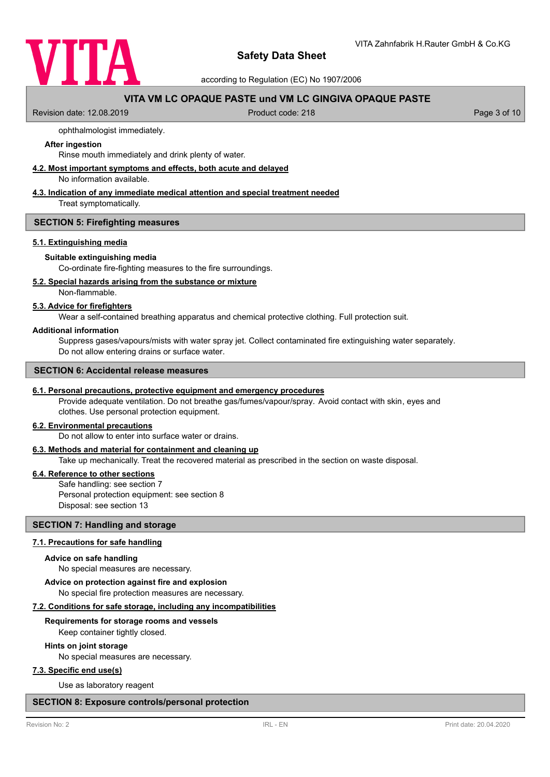

according to Regulation (EC) No 1907/2006

# **VITA VM LC OPAQUE PASTE und VM LC GINGIVA OPAQUE PASTE**

Revision date: 12.08.2019 **Product code: 218** Page 3 of 10

#### ophthalmologist immediately.

#### **After ingestion**

Rinse mouth immediately and drink plenty of water.

# **4.2. Most important symptoms and effects, both acute and delayed**

No information available.

## **4.3. Indication of any immediate medical attention and special treatment needed**

Treat symptomatically.

#### **SECTION 5: Firefighting measures**

#### **5.1. Extinguishing media**

#### **Suitable extinguishing media**

Co-ordinate fire-fighting measures to the fire surroundings.

## **5.2. Special hazards arising from the substance or mixture**

Non-flammable.

## **5.3. Advice for firefighters**

Wear a self-contained breathing apparatus and chemical protective clothing. Full protection suit.

#### **Additional information**

Suppress gases/vapours/mists with water spray jet. Collect contaminated fire extinguishing water separately. Do not allow entering drains or surface water.

#### **SECTION 6: Accidental release measures**

#### **6.1. Personal precautions, protective equipment and emergency procedures**

Provide adequate ventilation. Do not breathe gas/fumes/vapour/spray. Avoid contact with skin, eyes and clothes. Use personal protection equipment.

#### **6.2. Environmental precautions**

Do not allow to enter into surface water or drains.

## **6.3. Methods and material for containment and cleaning up**

Take up mechanically. Treat the recovered material as prescribed in the section on waste disposal.

## **6.4. Reference to other sections**

Safe handling: see section 7 Personal protection equipment: see section 8 Disposal: see section 13

## **SECTION 7: Handling and storage**

#### **7.1. Precautions for safe handling**

#### **Advice on safe handling**

No special measures are necessary.

#### **Advice on protection against fire and explosion**

No special fire protection measures are necessary.

#### **7.2. Conditions for safe storage, including any incompatibilities**

#### **Requirements for storage rooms and vessels**

Keep container tightly closed.

#### **Hints on joint storage**

No special measures are necessary.

#### **7.3. Specific end use(s)**

Use as laboratory reagent

## **SECTION 8: Exposure controls/personal protection**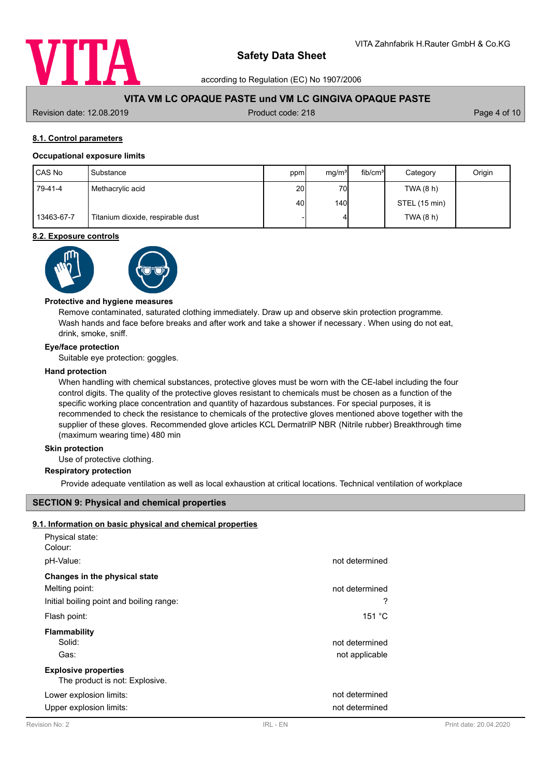

according to Regulation (EC) No 1907/2006

# **VITA VM LC OPAQUE PASTE und VM LC GINGIVA OPAQUE PASTE**

Revision date: 12.08.2019 **Product code: 218** Page 4 of 10

## **8.1. Control parameters**

## **Occupational exposure limits**

| CAS No     | Substance                         | ppm             | mg/m <sup>3</sup> | fib/cm <sup>3</sup> | Category      | Origin |
|------------|-----------------------------------|-----------------|-------------------|---------------------|---------------|--------|
| 79-41-4    | Methacrylic acid                  | 20 <sup>1</sup> | 70                |                     | TWA (8 h)     |        |
|            |                                   | 40I             | 140 <b>I</b>      |                     | STEL (15 min) |        |
| 13463-67-7 | Titanium dioxide, respirable dust |                 |                   |                     | TWA (8 h)     |        |

#### **8.2. Exposure controls**





#### **Protective and hygiene measures**

Remove contaminated, saturated clothing immediately. Draw up and observe skin protection programme. Wash hands and face before breaks and after work and take a shower if necessary . When using do not eat, drink, smoke, sniff.

## **Eye/face protection**

Suitable eye protection: goggles.

#### **Hand protection**

When handling with chemical substances, protective gloves must be worn with the CE-label including the four control digits. The quality of the protective gloves resistant to chemicals must be chosen as a function of the specific working place concentration and quantity of hazardous substances. For special purposes, it is recommended to check the resistance to chemicals of the protective gloves mentioned above together with the supplier of these gloves. Recommended glove articles KCL DermatrilP NBR (Nitrile rubber) Breakthrough time (maximum wearing time) 480 min

#### **Skin protection**

Use of protective clothing.

#### **Respiratory protection**

Provide adequate ventilation as well as local exhaustion at critical locations. Technical ventilation of workplace

## **SECTION 9: Physical and chemical properties**

## **9.1. Information on basic physical and chemical properties**

| Physical state:                          |                  |
|------------------------------------------|------------------|
| Colour:                                  |                  |
| pH-Value:                                | not determined   |
| Changes in the physical state            |                  |
| Melting point:                           | not determined   |
| Initial boiling point and boiling range: | ?                |
| Flash point:                             | 151 $^{\circ}$ C |
| <b>Flammability</b>                      |                  |
| Solid:                                   | not determined   |
| Gas:                                     | not applicable   |
| <b>Explosive properties</b>              |                  |
| The product is not: Explosive.           |                  |
| Lower explosion limits:                  | not determined   |
| Upper explosion limits:                  | not determined   |
|                                          |                  |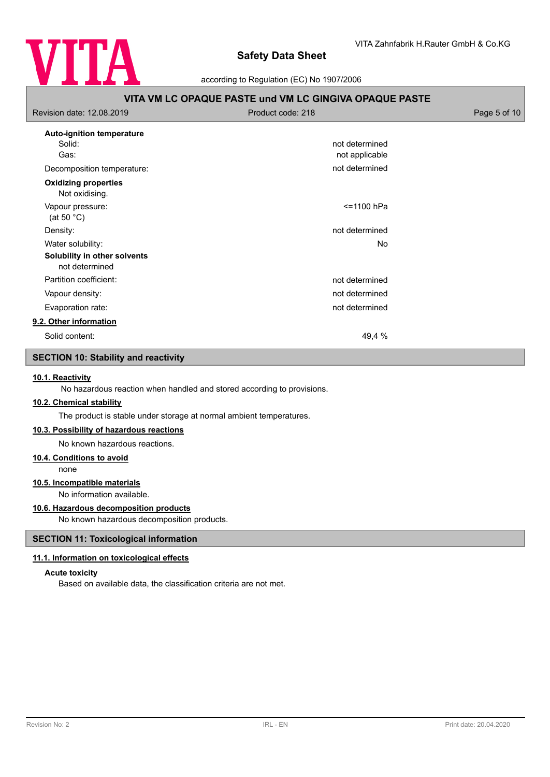

according to Regulation (EC) No 1907/2006

| VITA VM LC OPAQUE PASTE und VM LC GINGIVA OPAQUE PASTE |                   |              |  |  |
|--------------------------------------------------------|-------------------|--------------|--|--|
| Revision date: 12.08.2019                              | Product code: 218 | Page 5 of 10 |  |  |
| <b>Auto-ignition temperature</b>                       |                   |              |  |  |
| Solid:                                                 | not determined    |              |  |  |
| Gas:                                                   | not applicable    |              |  |  |
| Decomposition temperature:                             | not determined    |              |  |  |
| <b>Oxidizing properties</b><br>Not oxidising.          |                   |              |  |  |
| Vapour pressure:<br>(at 50 $^{\circ}$ C)               | <=1100 hPa        |              |  |  |
| Density:                                               | not determined    |              |  |  |
| Water solubility:                                      | <b>No</b>         |              |  |  |
| Solubility in other solvents<br>not determined         |                   |              |  |  |
| Partition coefficient:                                 | not determined    |              |  |  |
| Vapour density:                                        | not determined    |              |  |  |
| Evaporation rate:                                      | not determined    |              |  |  |
| 9.2. Other information                                 |                   |              |  |  |
| Solid content:                                         | 49,4 %            |              |  |  |
|                                                        |                   |              |  |  |

# **SECTION 10: Stability and reactivity**

## **10.1. Reactivity**

No hazardous reaction when handled and stored according to provisions.

## **10.2. Chemical stability**

The product is stable under storage at normal ambient temperatures.

#### **10.3. Possibility of hazardous reactions**

No known hazardous reactions.

#### **10.4. Conditions to avoid**

none

## **10.5. Incompatible materials**

No information available.

## **10.6. Hazardous decomposition products**

No known hazardous decomposition products.

## **SECTION 11: Toxicological information**

## **11.1. Information on toxicological effects**

## **Acute toxicity**

Based on available data, the classification criteria are not met.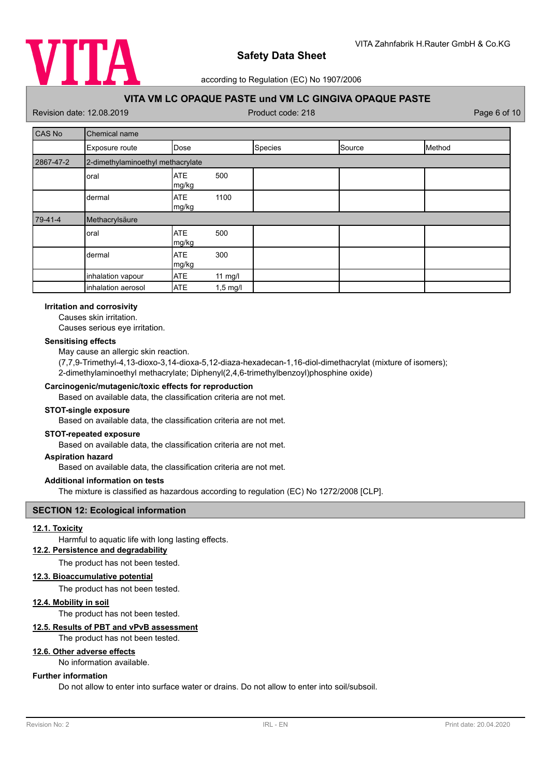

according to Regulation (EC) No 1907/2006

# **VITA VM LC OPAQUE PASTE und VM LC GINGIVA OPAQUE PASTE**

Revision date: 12.08.2019 **Product code: 218** Page 6 of 10

| CAS No                                         | Chemical name      |                             |            |         |        |        |
|------------------------------------------------|--------------------|-----------------------------|------------|---------|--------|--------|
|                                                | Exposure route     | Dose                        |            | Species | Source | Method |
| 2-dimethylaminoethyl methacrylate<br>2867-47-2 |                    |                             |            |         |        |        |
|                                                | oral               | <b>ATE</b><br>500<br>mg/kg  |            |         |        |        |
|                                                | dermal             | 1100<br><b>ATE</b><br>mg/kg |            |         |        |        |
| $79-41-4$<br>Methacrylsäure                    |                    |                             |            |         |        |        |
|                                                | oral               | 500<br><b>ATE</b><br>mg/kg  |            |         |        |        |
|                                                | dermal             | 300<br><b>ATE</b><br>mg/kg  |            |         |        |        |
|                                                | inhalation vapour  | <b>ATE</b>                  | $11$ mg/l  |         |        |        |
|                                                | inhalation aerosol | <b>ATE</b>                  | $1,5$ mg/l |         |        |        |

## **Irritation and corrosivity**

Causes skin irritation.

Causes serious eye irritation.

#### **Sensitising effects**

May cause an allergic skin reaction.

(7,7,9-Trimethyl-4,13-dioxo-3,14-dioxa-5,12-diaza-hexadecan-1,16-diol-dimethacrylat (mixture of isomers); 2-dimethylaminoethyl methacrylate; Diphenyl(2,4,6-trimethylbenzoyl)phosphine oxide)

#### **Carcinogenic/mutagenic/toxic effects for reproduction**

Based on available data, the classification criteria are not met.

#### **STOT-single exposure**

Based on available data, the classification criteria are not met.

#### **STOT-repeated exposure**

Based on available data, the classification criteria are not met.

## **Aspiration hazard**

Based on available data, the classification criteria are not met.

## **Additional information on tests**

The mixture is classified as hazardous according to regulation (EC) No 1272/2008 [CLP].

## **SECTION 12: Ecological information**

## **12.1. Toxicity**

Harmful to aquatic life with long lasting effects.

**12.2. Persistence and degradability**

The product has not been tested.

## **12.3. Bioaccumulative potential**

The product has not been tested.

## **12.4. Mobility in soil**

The product has not been tested.

#### **12.5. Results of PBT and vPvB assessment**

The product has not been tested.

#### **12.6. Other adverse effects**

No information available.

## **Further information**

Do not allow to enter into surface water or drains. Do not allow to enter into soil/subsoil.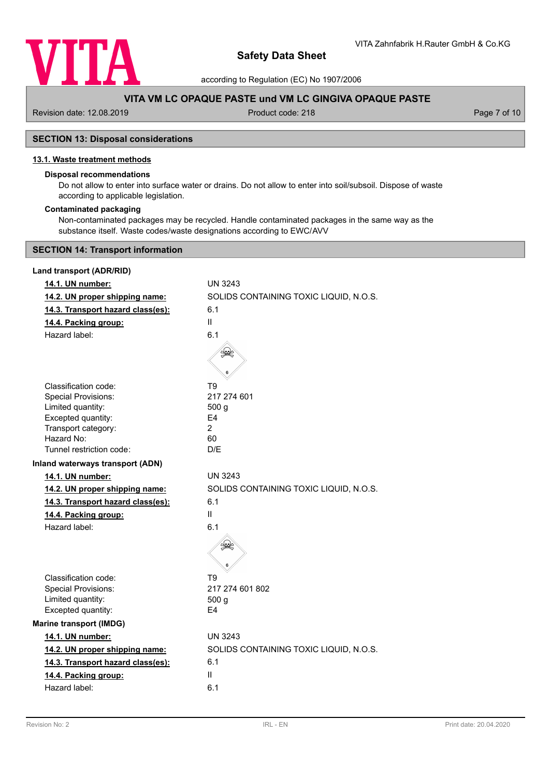

according to Regulation (EC) No 1907/2006

# **VITA VM LC OPAQUE PASTE und VM LC GINGIVA OPAQUE PASTE**

Revision date: 12.08.2019 **Product code: 218** Page 7 of 10

# **SECTION 13: Disposal considerations**

## **13.1. Waste treatment methods**

# **Disposal recommendations**

Do not allow to enter into surface water or drains. Do not allow to enter into soil/subsoil. Dispose of waste according to applicable legislation.

## **Contaminated packaging**

Non-contaminated packages may be recycled. Handle contaminated packages in the same way as the substance itself. Waste codes/waste designations according to EWC/AVV

## **SECTION 14: Transport information**

| Land transport (ADR/RID)                |                                        |
|-----------------------------------------|----------------------------------------|
| 14.1. UN number:                        | <b>UN 3243</b>                         |
| 14.2. UN proper shipping name:          | SOLIDS CONTAINING TOXIC LIQUID, N.O.S. |
| 14.3. Transport hazard class(es):       | 6.1                                    |
| 14.4. Packing group:                    | Ш                                      |
| Hazard label:                           | 6.1                                    |
|                                         |                                        |
| Classification code:                    | T9                                     |
| <b>Special Provisions:</b>              | 217 274 601                            |
| Limited quantity:<br>Excepted quantity: | 500 <sub>g</sub><br>E <sub>4</sub>     |
| Transport category:                     | $\overline{2}$                         |
| Hazard No:                              | 60                                     |
| Tunnel restriction code:                | D/E                                    |
| Inland waterways transport (ADN)        |                                        |
| 14.1. UN number:                        | <b>UN 3243</b>                         |
| 14.2. UN proper shipping name:          | SOLIDS CONTAINING TOXIC LIQUID, N.O.S. |
| 14.3. Transport hazard class(es):       | 6.1                                    |
| 14.4. Packing group:                    | Ш                                      |
| Hazard label:                           | 6.1                                    |
|                                         |                                        |
| Classification code:                    | T9                                     |
| <b>Special Provisions:</b>              | 217 274 601 802                        |
| Limited quantity:                       | 500 <sub>g</sub>                       |
| Excepted quantity:                      | E4                                     |
| <b>Marine transport (IMDG)</b>          |                                        |
| 14.1. UN number:                        | <b>UN 3243</b>                         |
| 14.2. UN proper shipping name:          | SOLIDS CONTAINING TOXIC LIQUID, N.O.S. |
| 14.3. Transport hazard class(es):       | 6.1                                    |
| 14.4. Packing group:                    | Ш                                      |
| Hazard label:                           | 6.1                                    |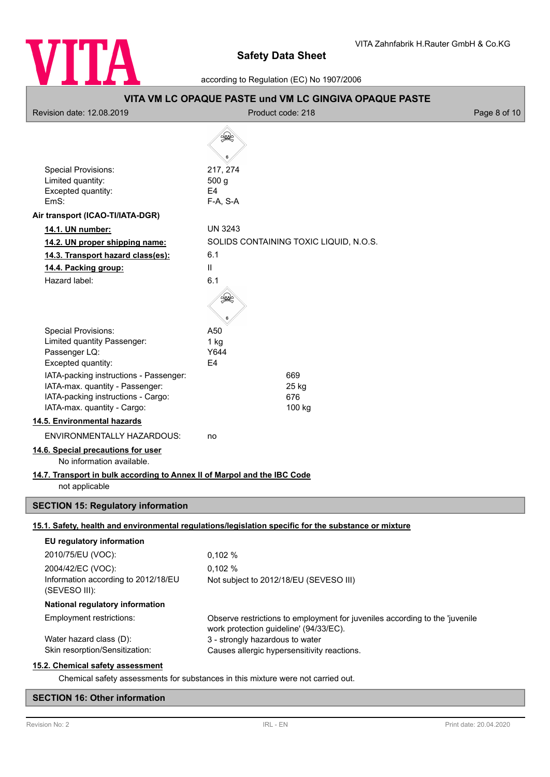

according to Regulation (EC) No 1907/2006

| VITA VM LC OPAQUE PASTE und VM LC GINGIVA OPAQUE PASTE                                                                                                                                                                                             |                                                                                                                       |  |  |
|----------------------------------------------------------------------------------------------------------------------------------------------------------------------------------------------------------------------------------------------------|-----------------------------------------------------------------------------------------------------------------------|--|--|
| Revision date: 12.08.2019<br>Product code: 218<br>Page 8 of 10                                                                                                                                                                                     |                                                                                                                       |  |  |
| <b>Special Provisions:</b>                                                                                                                                                                                                                         | ≸≹<br>217, 274                                                                                                        |  |  |
| Limited quantity:<br>Excepted quantity:<br>EmS:                                                                                                                                                                                                    | 500 <sub>g</sub><br>E4<br>F-A, S-A                                                                                    |  |  |
| Air transport (ICAO-TI/IATA-DGR)                                                                                                                                                                                                                   |                                                                                                                       |  |  |
| 14.1. UN number:                                                                                                                                                                                                                                   | <b>UN 3243</b>                                                                                                        |  |  |
| 14.2. UN proper shipping name:<br>14.3. Transport hazard class(es):                                                                                                                                                                                | SOLIDS CONTAINING TOXIC LIQUID, N.O.S.<br>6.1                                                                         |  |  |
| 14.4. Packing group:<br>Hazard label:                                                                                                                                                                                                              | $\mathbf{H}$<br>6.1                                                                                                   |  |  |
| <b>Special Provisions:</b><br>Limited quantity Passenger:<br>Passenger LQ:<br>Excepted quantity:<br>IATA-packing instructions - Passenger:<br>IATA-max. quantity - Passenger:<br>IATA-packing instructions - Cargo:<br>IATA-max. quantity - Cargo: | A50<br>1 kg<br>Y644<br>E <sub>4</sub><br>669<br>25 kg<br>676<br>100 kg                                                |  |  |
| 14.5. Environmental hazards                                                                                                                                                                                                                        |                                                                                                                       |  |  |
| <b>ENVIRONMENTALLY HAZARDOUS:</b>                                                                                                                                                                                                                  | no                                                                                                                    |  |  |
| 14.6. Special precautions for user<br>No information available.                                                                                                                                                                                    |                                                                                                                       |  |  |
| 14.7. Transport in bulk according to Annex II of Marpol and the IBC Code<br>not applicable                                                                                                                                                         |                                                                                                                       |  |  |
| <b>SECTION 15: Regulatory information</b>                                                                                                                                                                                                          |                                                                                                                       |  |  |
|                                                                                                                                                                                                                                                    | 15.1. Safety, health and environmental regulations/legislation specific for the substance or mixture                  |  |  |
| EU regulatory information                                                                                                                                                                                                                          |                                                                                                                       |  |  |
| 2010/75/EU (VOC):                                                                                                                                                                                                                                  | 0,102%                                                                                                                |  |  |
| 2004/42/EC (VOC):                                                                                                                                                                                                                                  | 0,102 %                                                                                                               |  |  |
| Information according to 2012/18/EU<br>(SEVESO III):                                                                                                                                                                                               | Not subject to 2012/18/EU (SEVESO III)                                                                                |  |  |
| National regulatory information                                                                                                                                                                                                                    |                                                                                                                       |  |  |
| Employment restrictions:                                                                                                                                                                                                                           | Observe restrictions to employment for juveniles according to the 'juvenile<br>work protection guideline' (94/33/EC). |  |  |
| Water hazard class (D):<br>Skin resorption/Sensitization:                                                                                                                                                                                          | 3 - strongly hazardous to water<br>Causes allergic hypersensitivity reactions.                                        |  |  |

## **15.2. Chemical safety assessment**

Chemical safety assessments for substances in this mixture were not carried out.

# **SECTION 16: Other information**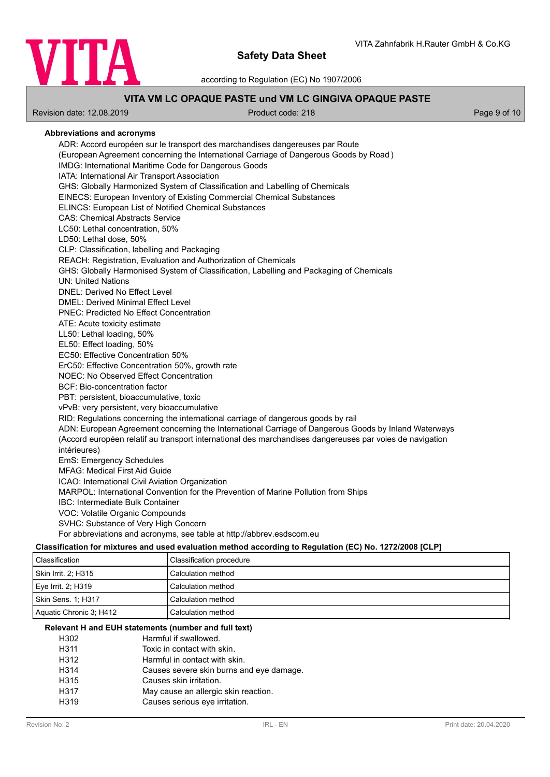

according to Regulation (EC) No 1907/2006

# **VITA VM LC OPAQUE PASTE und VM LC GINGIVA OPAQUE PASTE**

Revision date: 12.08.2019 **Product code: 218** Page 9 of 10

## **Abbreviations and acronyms** ADR: Accord européen sur le transport des marchandises dangereuses par Route (European Agreement concerning the International Carriage of Dangerous Goods by Road ) IMDG: International Maritime Code for Dangerous Goods IATA: International Air Transport Association GHS: Globally Harmonized System of Classification and Labelling of Chemicals EINECS: European Inventory of Existing Commercial Chemical Substances ELINCS: European List of Notified Chemical Substances CAS: Chemical Abstracts Service LC50: Lethal concentration, 50% LD50: Lethal dose, 50% CLP: Classification, labelling and Packaging REACH: Registration, Evaluation and Authorization of Chemicals GHS: Globally Harmonised System of Classification, Labelling and Packaging of Chemicals UN: United Nations DNEL: Derived No Effect Level DMEL: Derived Minimal Effect Level PNEC: Predicted No Effect Concentration ATE: Acute toxicity estimate LL50: Lethal loading, 50% EL50: Effect loading, 50% EC50: Effective Concentration 50% ErC50: Effective Concentration 50%, growth rate NOEC: No Observed Effect Concentration BCF: Bio-concentration factor PBT: persistent, bioaccumulative, toxic vPvB: very persistent, very bioaccumulative RID: Regulations concerning the international carriage of dangerous goods by rail ADN: European Agreement concerning the International Carriage of Dangerous Goods by Inland Waterways (Accord européen relatif au transport international des marchandises dangereuses par voies de navigation intérieures) EmS: Emergency Schedules MFAG: Medical First Aid Guide ICAO: International Civil Aviation Organization MARPOL: International Convention for the Prevention of Marine Pollution from Ships IBC: Intermediate Bulk Container VOC: Volatile Organic Compounds SVHC: Substance of Very High Concern For abbreviations and acronyms, see table at http://abbrev.esdscom.eu **Classification for mixtures and used evaluation method according to Regulation (EC) No. 1272/2008 [CLP]**

| Classification          | Classification procedure |
|-------------------------|--------------------------|
| Skin Irrit. 2: H315     | Calculation method       |
| Eve Irrit. 2: H319      | Calculation method       |
| Skin Sens. 1; H317      | Calculation method       |
| Aquatic Chronic 3: H412 | Calculation method       |

#### **Relevant H and EUH statements (number and full text)**

| H302             | Harmful if swallowed.                    |
|------------------|------------------------------------------|
| H <sub>311</sub> | Toxic in contact with skin.              |
| H312             | Harmful in contact with skin.            |
| H314             | Causes severe skin burns and eye damage. |
| H315             | Causes skin irritation.                  |
| H317             | May cause an allergic skin reaction.     |
| H <sub>319</sub> | Causes serious eye irritation.           |
|                  |                                          |